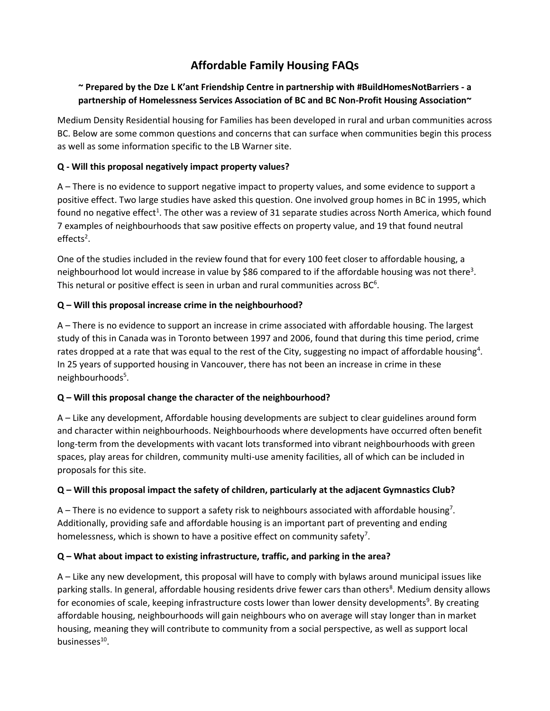# **Affordable Family Housing FAQs**

## **~ Prepared by the Dze L K'ant Friendship Centre in partnership with #BuildHomesNotBarriers - a partnership of Homelessness Services Association of BC and BC Non-Profit Housing Association~**

Medium Density Residential housing for Families has been developed in rural and urban communities across BC. Below are some common questions and concerns that can surface when communities begin this process as well as some information specific to the LB Warner site.

## **Q - Will this proposal negatively impact property values?**

A – There is no evidence to support negative impact to property values, and some evidence to support a positive effect. Two large studies have asked this question. One involved group homes in BC in 1995, which found no negative effect<sup>1</sup>. The other was a review of 31 separate studies across North America, which found 7 examples of neighbourhoods that saw positive effects on property value, and 19 that found neutral effects<sup>2</sup>.

One of the studies included in the review found that for every 100 feet closer to affordable housing, a neighbourhood lot would increase in value by \$86 compared to if the affordable housing was not there<sup>3</sup>. This netural or positive effect is seen in urban and rural communities across  $BC<sup>6</sup>$ .

#### **Q – Will this proposal increase crime in the neighbourhood?**

A – There is no evidence to support an increase in crime associated with affordable housing. The largest study of this in Canada was in Toronto between 1997 and 2006, found that during this time period, crime rates dropped at a rate that was equal to the rest of the City, suggesting no impact of affordable housing<sup>4</sup>. In 25 years of supported housing in Vancouver, there has not been an increase in crime in these neighbourhoods<sup>5</sup>.

## **Q – Will this proposal change the character of the neighbourhood?**

A – Like any development, Affordable housing developments are subject to clear guidelines around form and character within neighbourhoods. Neighbourhoods where developments have occurred often benefit long-term from the developments with vacant lots transformed into vibrant neighbourhoods with green spaces, play areas for children, community multi-use amenity facilities, all of which can be included in proposals for this site.

#### **Q – Will this proposal impact the safety of children, particularly at the adjacent Gymnastics Club?**

A – There is no evidence to support a safety risk to neighbours associated with affordable housing<sup>7</sup>. Additionally, providing safe and affordable housing is an important part of preventing and ending homelessness, which is shown to have a positive effect on community safety<sup>7</sup>.

## **Q – What about impact to existing infrastructure, traffic, and parking in the area?**

A – Like any new development, this proposal will have to comply with bylaws around municipal issues like parking stalls. In general, affordable housing residents drive fewer cars than others<sup>8</sup>. Medium density allows for economies of scale, keeping infrastructure costs lower than lower density developments<sup>9</sup>. By creating affordable housing, neighbourhoods will gain neighbours who on average will stay longer than in market housing, meaning they will contribute to community from a social perspective, as well as support local businesses<sup>10</sup>.